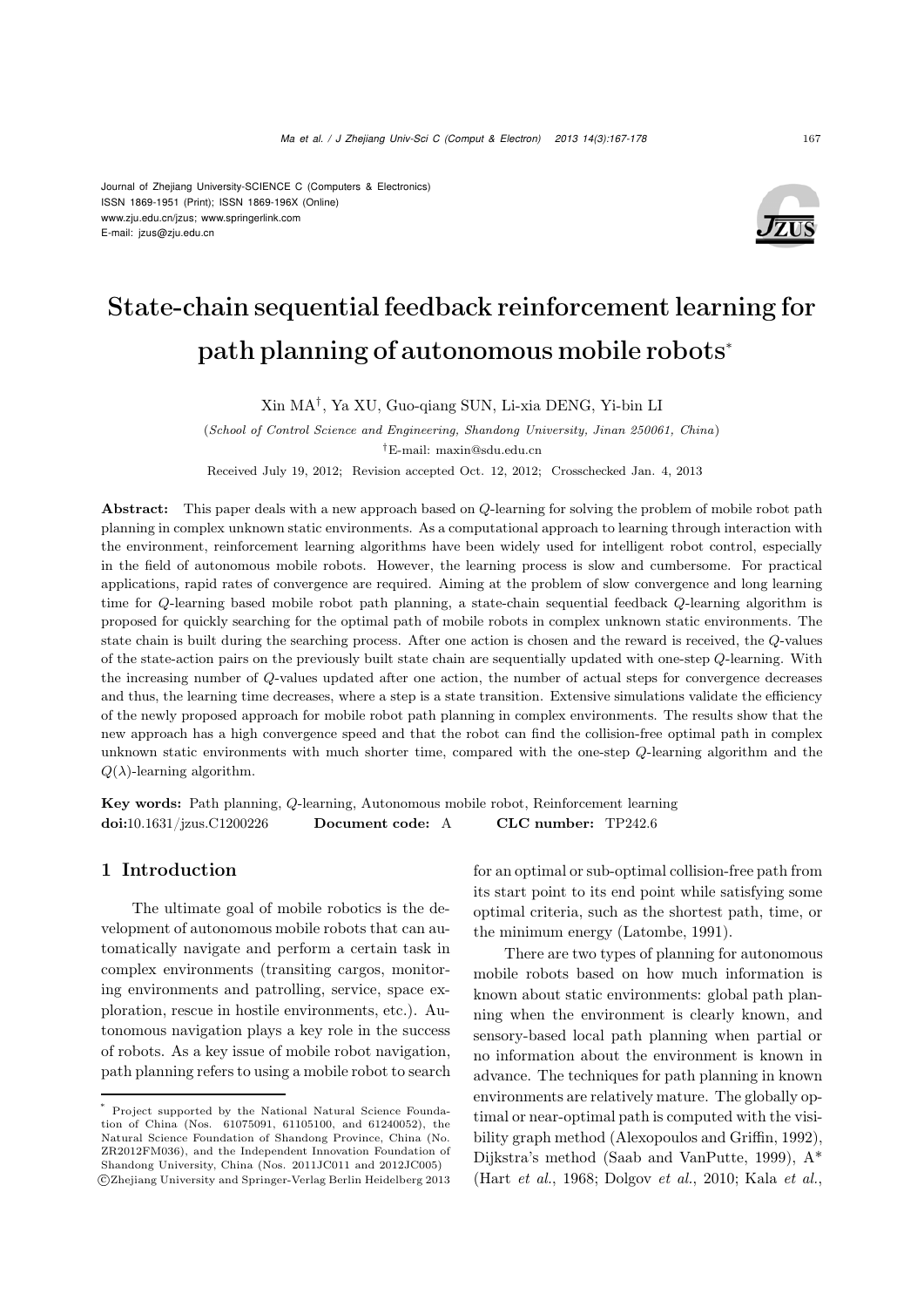#### Journal of Zhejiang University-SCIENCE C (Computers & Electronics) ISSN 1869-1951 (Print); ISSN 1869-196X (Online) www.zju.edu.cn/jzus; www.springerlink.com E-mail: jzus@zju.edu.cn



# State-chain sequential feedback reinforcement learning for path planning of autonomous mobile robots<sup>∗</sup>

Xin MA†, Ya XU, Guo-qiang SUN, Li-xia DENG, Yi-bin LI

(*School of Control Science and Engineering, Shandong University, Jinan 250061, China*)

†E-mail: maxin@sdu.edu.cn

Received July 19, 2012; Revision accepted Oct. 12, 2012; Crosschecked Jan. 4, 2013

Abstract: This paper deals with a new approach based on Q-learning for solving the problem of mobile robot path planning in complex unknown static environments. As a computational approach to learning through interaction with the environment, reinforcement learning algorithms have been widely used for intelligent robot control, especially in the field of autonomous mobile robots. However, the learning process is slow and cumbersome. For practical applications, rapid rates of convergence are required. Aiming at the problem of slow convergence and long learning time for Q-learning based mobile robot path planning, a state-chain sequential feedback Q-learning algorithm is proposed for quickly searching for the optimal path of mobile robots in complex unknown static environments. The state chain is built during the searching process. After one action is chosen and the reward is received, the Q-values of the state-action pairs on the previously built state chain are sequentially updated with one-step Q-learning. With the increasing number of Q-values updated after one action, the number of actual steps for convergence decreases and thus, the learning time decreases, where a step is a state transition. Extensive simulations validate the efficiency of the newly proposed approach for mobile robot path planning in complex environments. The results show that the new approach has a high convergence speed and that the robot can find the collision-free optimal path in complex unknown static environments with much shorter time, compared with the one-step Q-learning algorithm and the  $Q(\lambda)$ -learning algorithm.

Key words: Path planning, Q-learning, Autonomous mobile robot, Reinforcement learning doi:10.1631/jzus.C1200226 Document code: A CLC number: TP242.6

# 1 Introduction

The ultimate goal of mobile robotics is the development of autonomous mobile robots that can automatically navigate and perform a certain task in complex environments (transiting cargos, monitoring environments and patrolling, service, space exploration, rescue in hostile environments, etc.). Autonomous navigation plays a key role in the success of robots. As a key issue of mobile robot navigation, path planning refers to using a mobile robot to search for an optimal or sub-optimal collision-free path from its start point to its end point while satisfying some optimal criteria, such as the shortest path, time, or the minimum energy (Latombe, 1991).

There are two types of planning for autonomous mobile robots based on how much information is known about static environments: global path planning when the environment is clearly known, and sensory-based local path planning when partial or no information about the environment is known in advance. The techniques for path planning in known environments are relatively mature. The globally optimal or near-optimal path is computed with the visibility graph method (Alexopoulos and Griffin, 1992), Dijkstra's method (Saab and VanPutte, 1999), A\* (Hart *et al.*, 1968; Dolgov *et al.*, 2010; Kala *et al.*,

Project supported by the National Natural Science Foundation of China (Nos. 61075091, 61105100, and 61240052), the Natural Science Foundation of Shandong Province, China (No. ZR2012FM036), and the Independent Innovation Foundation of Shandong University, China (Nos. 2011JC011 and 2012JC005) c Zhejiang University and Springer-Verlag Berlin Heidelberg 2013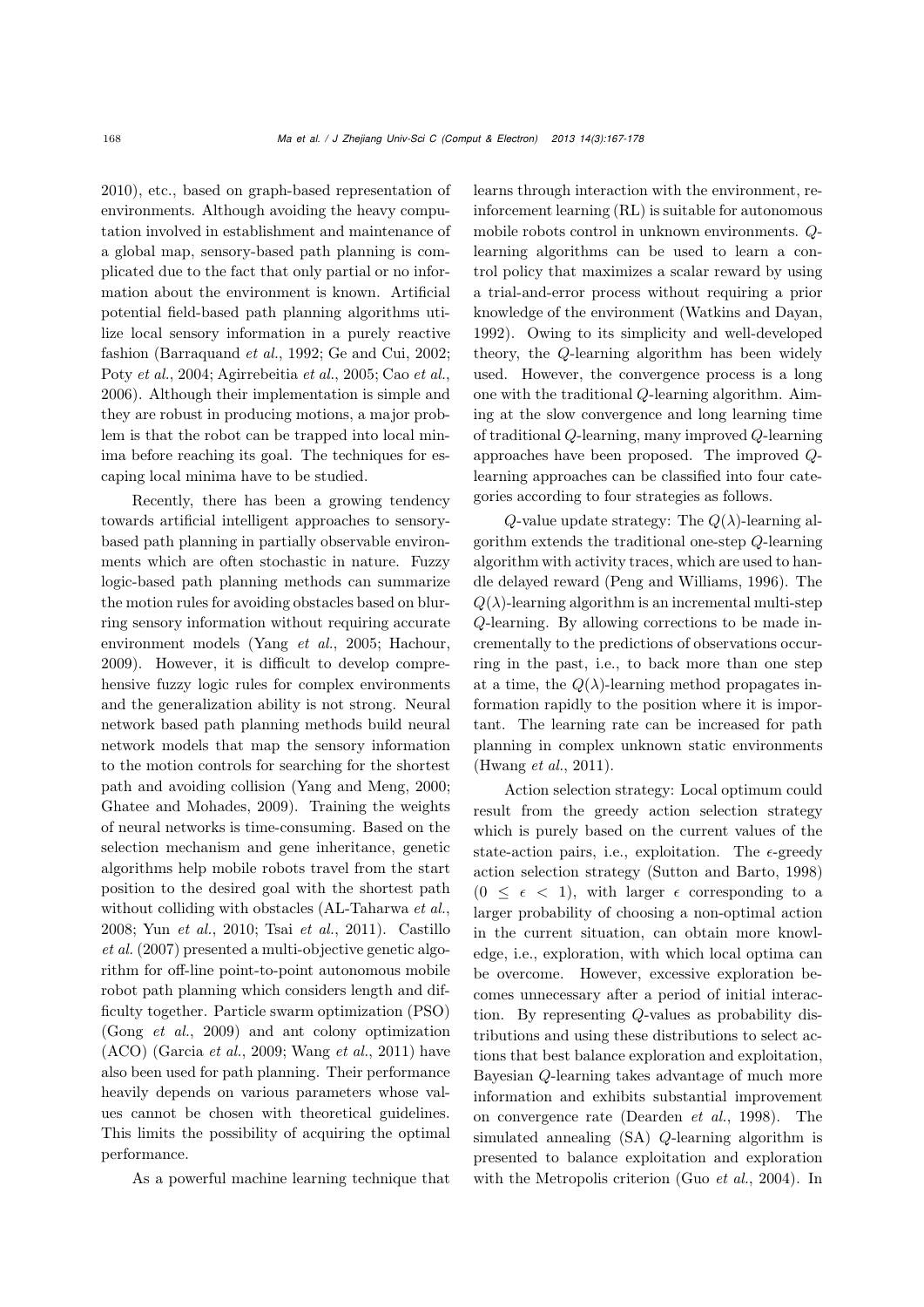2010), etc., based on graph-based representation of environments. Although avoiding the heavy computation involved in establishment and maintenance of a global map, sensory-based path planning is complicated due to the fact that only partial or no information about the environment is known. Artificial potential field-based path planning algorithms utilize local sensory information in a purely reactive fashion (Barraquand *et al.*, 1992; Ge and Cui, 2002; Poty *et al.*, 2004; Agirrebeitia *et al.*, 2005; Cao *et al.*, 2006). Although their implementation is simple and they are robust in producing motions, a major problem is that the robot can be trapped into local minima before reaching its goal. The techniques for escaping local minima have to be studied.

Recently, there has been a growing tendency towards artificial intelligent approaches to sensorybased path planning in partially observable environments which are often stochastic in nature. Fuzzy logic-based path planning methods can summarize the motion rules for avoiding obstacles based on blurring sensory information without requiring accurate environment models (Yang *et al.*, 2005; Hachour, 2009). However, it is difficult to develop comprehensive fuzzy logic rules for complex environments and the generalization ability is not strong. Neural network based path planning methods build neural network models that map the sensory information to the motion controls for searching for the shortest path and avoiding collision (Yang and Meng, 2000; Ghatee and Mohades, 2009). Training the weights of neural networks is time-consuming. Based on the selection mechanism and gene inheritance, genetic algorithms help mobile robots travel from the start position to the desired goal with the shortest path without colliding with obstacles (AL-Taharwa *et al.*, 2008; Yun *et al.*, 2010; Tsai *et al.*, 2011). Castillo *et al.* (2007) presented a multi-objective genetic algorithm for off-line point-to-point autonomous mobile robot path planning which considers length and difficulty together. Particle swarm optimization (PSO) (Gong *et al.*, 2009) and ant colony optimization (ACO) (Garcia *et al.*, 2009; Wang *et al.*, 2011) have also been used for path planning. Their performance heavily depends on various parameters whose values cannot be chosen with theoretical guidelines. This limits the possibility of acquiring the optimal performance.

As a powerful machine learning technique that

learns through interaction with the environment, reinforcement learning (RL) is suitable for autonomous mobile robots control in unknown environments. Qlearning algorithms can be used to learn a control policy that maximizes a scalar reward by using a trial-and-error process without requiring a prior knowledge of the environment (Watkins and Dayan, 1992). Owing to its simplicity and well-developed theory, the Q-learning algorithm has been widely used. However, the convergence process is a long one with the traditional Q-learning algorithm. Aiming at the slow convergence and long learning time of traditional Q-learning, many improved Q-learning approaches have been proposed. The improved Qlearning approaches can be classified into four categories according to four strategies as follows.

Q-value update strategy: The  $Q(\lambda)$ -learning algorithm extends the traditional one-step Q-learning algorithm with activity traces, which are used to handle delayed reward (Peng and Williams, 1996). The  $Q(\lambda)$ -learning algorithm is an incremental multi-step Q-learning. By allowing corrections to be made incrementally to the predictions of observations occurring in the past, i.e., to back more than one step at a time, the  $Q(\lambda)$ -learning method propagates information rapidly to the position where it is important. The learning rate can be increased for path planning in complex unknown static environments (Hwang *et al.*, 2011).

Action selection strategy: Local optimum could result from the greedy action selection strategy which is purely based on the current values of the state-action pairs, i.e., exploitation. The  $\epsilon$ -greedy action selection strategy (Sutton and Barto, 1998)  $(0 \leq \epsilon \leq 1)$ , with larger  $\epsilon$  corresponding to a larger probability of choosing a non-optimal action in the current situation, can obtain more knowledge, i.e., exploration, with which local optima can be overcome. However, excessive exploration becomes unnecessary after a period of initial interaction. By representing Q-values as probability distributions and using these distributions to select actions that best balance exploration and exploitation, Bayesian Q-learning takes advantage of much more information and exhibits substantial improvement on convergence rate (Dearden *et al.*, 1998). The simulated annealing (SA) Q-learning algorithm is presented to balance exploitation and exploration with the Metropolis criterion (Guo *et al.*, 2004). In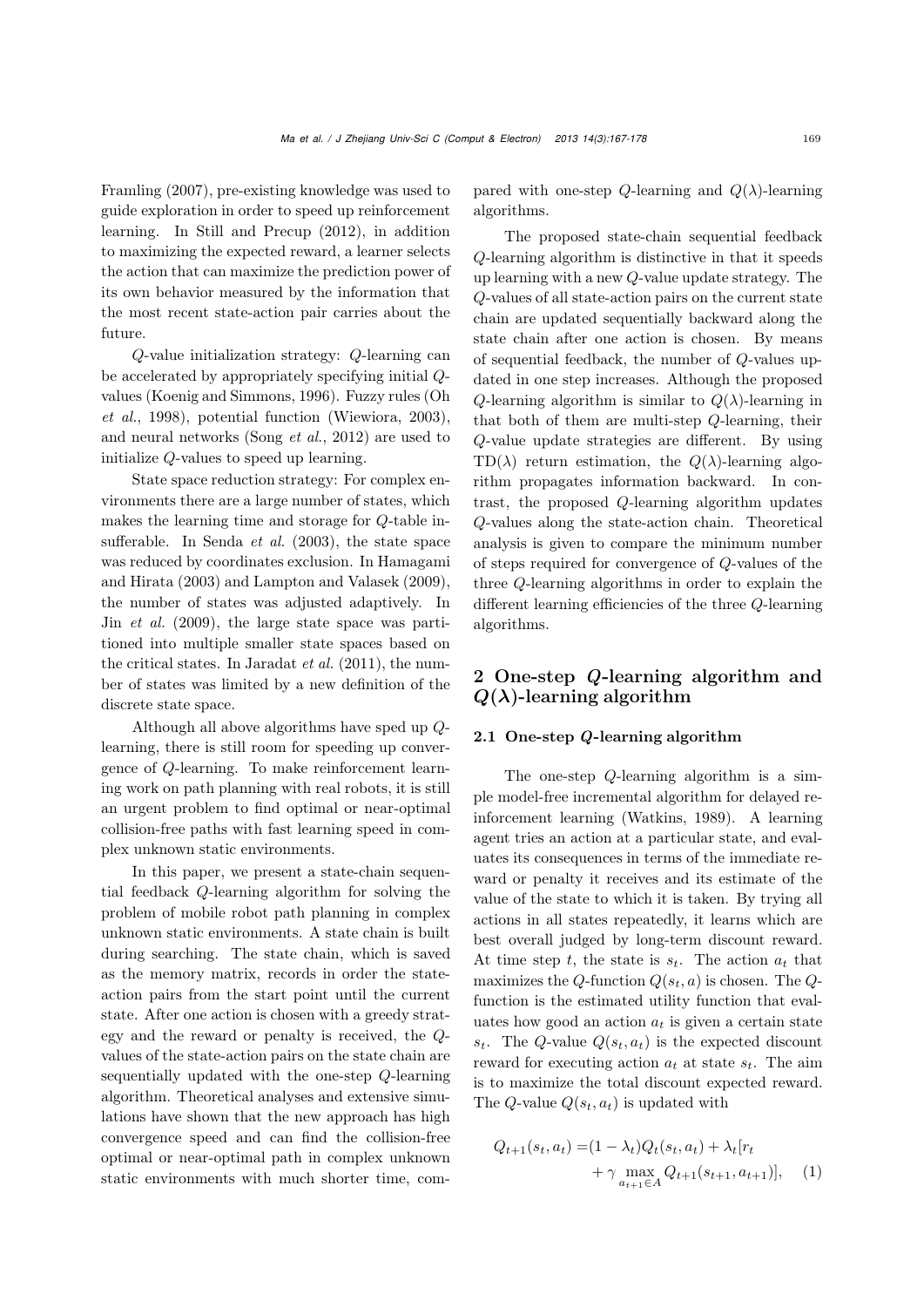Framling (2007), pre-existing knowledge was used to guide exploration in order to speed up reinforcement learning. In Still and Precup (2012), in addition to maximizing the expected reward, a learner selects the action that can maximize the prediction power of its own behavior measured by the information that the most recent state-action pair carries about the future.

Q-value initialization strategy: Q-learning can be accelerated by appropriately specifying initial Qvalues (Koenig and Simmons, 1996). Fuzzy rules (Oh *et al.*, 1998), potential function (Wiewiora, 2003), and neural networks (Song *et al.*, 2012) are used to initialize Q-values to speed up learning.

State space reduction strategy: For complex environments there are a large number of states, which makes the learning time and storage for Q-table insufferable. In Senda *et al.* (2003), the state space was reduced by coordinates exclusion. In Hamagami and Hirata (2003) and Lampton and Valasek (2009), the number of states was adjusted adaptively. In Jin *et al.* (2009), the large state space was partitioned into multiple smaller state spaces based on the critical states. In Jaradat *et al.* (2011), the number of states was limited by a new definition of the discrete state space.

Although all above algorithms have sped up Qlearning, there is still room for speeding up convergence of Q-learning. To make reinforcement learning work on path planning with real robots, it is still an urgent problem to find optimal or near-optimal collision-free paths with fast learning speed in complex unknown static environments.

In this paper, we present a state-chain sequential feedback Q-learning algorithm for solving the problem of mobile robot path planning in complex unknown static environments. A state chain is built during searching. The state chain, which is saved as the memory matrix, records in order the stateaction pairs from the start point until the current state. After one action is chosen with a greedy strategy and the reward or penalty is received, the Qvalues of the state-action pairs on the state chain are sequentially updated with the one-step Q-learning algorithm. Theoretical analyses and extensive simulations have shown that the new approach has high convergence speed and can find the collision-free optimal or near-optimal path in complex unknown static environments with much shorter time, compared with one-step Q-learning and  $Q(\lambda)$ -learning algorithms.

The proposed state-chain sequential feedback Q-learning algorithm is distinctive in that it speeds up learning with a new Q-value update strategy. The Q-values of all state-action pairs on the current state chain are updated sequentially backward along the state chain after one action is chosen. By means of sequential feedback, the number of Q-values updated in one step increases. Although the proposed Q-learning algorithm is similar to  $Q(\lambda)$ -learning in that both of them are multi-step Q-learning, their Q-value update strategies are different. By using TD( $\lambda$ ) return estimation, the  $Q(\lambda)$ -learning algorithm propagates information backward. In contrast, the proposed Q-learning algorithm updates Q-values along the state-action chain. Theoretical analysis is given to compare the minimum number of steps required for convergence of Q-values of the three Q-learning algorithms in order to explain the different learning efficiencies of the three Q-learning algorithms.

# 2 One-step *Q*-learning algorithm and  $Q(\lambda)$ -learning algorithm

# 2.1 One-step *Q*-learning algorithm

The one-step Q-learning algorithm is a simple model-free incremental algorithm for delayed reinforcement learning (Watkins, 1989). A learning agent tries an action at a particular state, and evaluates its consequences in terms of the immediate reward or penalty it receives and its estimate of the value of the state to which it is taken. By trying all actions in all states repeatedly, it learns which are best overall judged by long-term discount reward. At time step t, the state is  $s_t$ . The action  $a_t$  that maximizes the Q-function  $Q(s_t, a)$  is chosen. The Qfunction is the estimated utility function that evaluates how good an action  $a_t$  is given a certain state  $s_t$ . The Q-value  $Q(s_t, a_t)$  is the expected discount reward for executing action  $a_t$  at state  $s_t$ . The aim is to maximize the total discount expected reward. The Q-value  $Q(s_t, a_t)$  is updated with

$$
Q_{t+1}(s_t, a_t) = (1 - \lambda_t)Q_t(s_t, a_t) + \lambda_t[r_t + \gamma \max_{a_{t+1} \in A} Q_{t+1}(s_{t+1}, a_{t+1})], \quad (1)
$$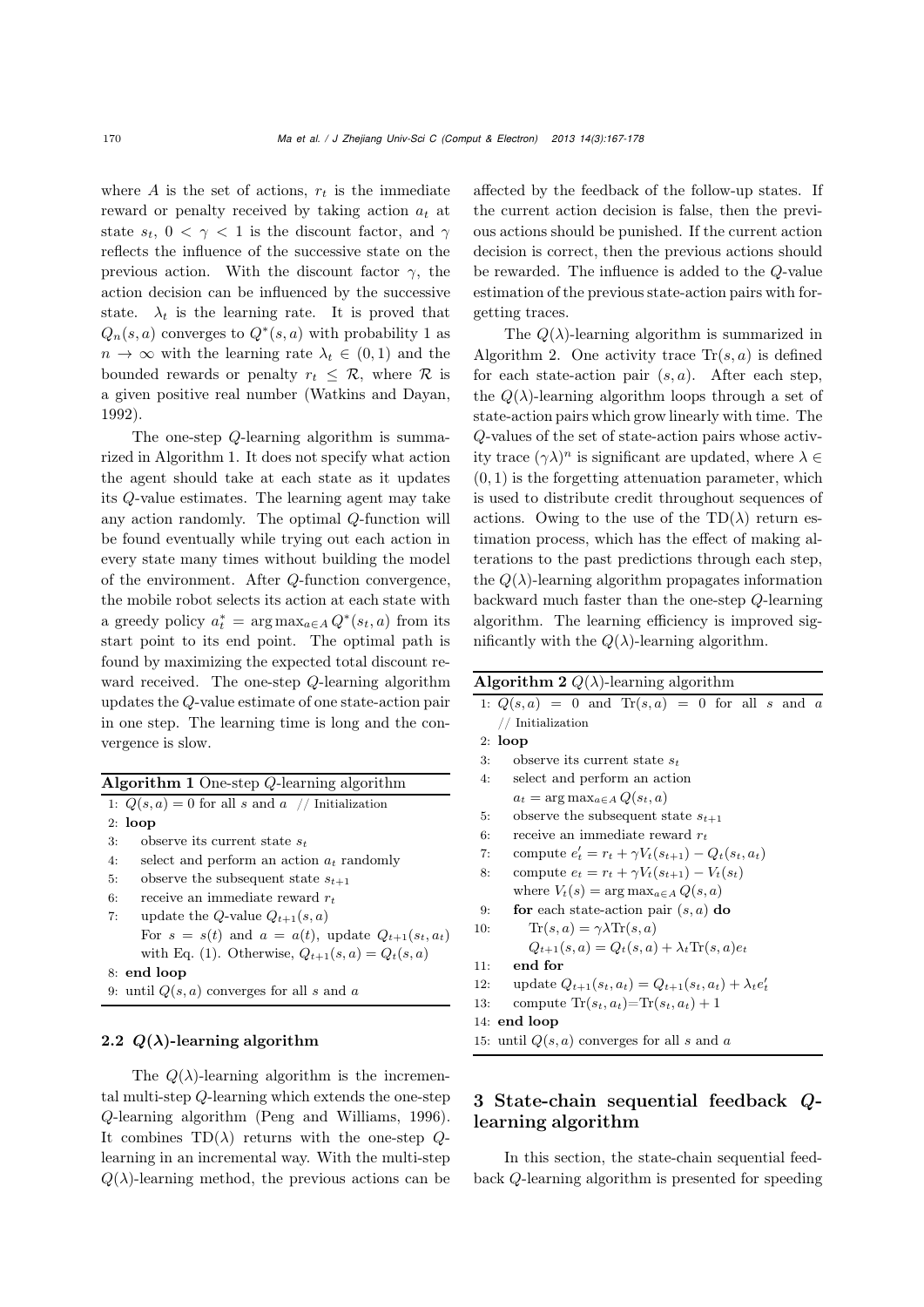where A is the set of actions,  $r_t$  is the immediate reward or penalty received by taking action  $a_t$  at state  $s_t$ ,  $0 < \gamma < 1$  is the discount factor, and  $\gamma$ reflects the influence of the successive state on the previous action. With the discount factor  $\gamma$ , the action decision can be influenced by the successive state.  $\lambda_t$  is the learning rate. It is proved that  $Q_n(s,a)$  converges to  $Q^*(s,a)$  with probability 1 as  $n \to \infty$  with the learning rate  $\lambda_t \in (0,1)$  and the bounded rewards or penalty  $r_t \leq \mathcal{R}$ , where  $\mathcal{R}$  is a given positive real number (Watkins and Dayan, 1992).

The one-step Q-learning algorithm is summarized in Algorithm 1. It does not specify what action the agent should take at each state as it updates its Q-value estimates. The learning agent may take any action randomly. The optimal Q-function will be found eventually while trying out each action in every state many times without building the model of the environment. After Q-function convergence, the mobile robot selects its action at each state with a greedy policy  $a_t^* = \arg \max_{a \in A} Q^*(s_t, a)$  from its<br>start point to its and point. The optimal path is start point to its end point. The optimal path is found by maximizing the expected total discount reward received. The one-step Q-learning algorithm updates the Q-value estimate of one state-action pair in one step. The learning time is long and the convergence is slow.

| <b>Algorithm 1</b> One-step $Q$ -learning algorithm        |
|------------------------------------------------------------|
| 1: $Q(s, a) = 0$ for all s and a // Initialization         |
| $2:$ loop                                                  |
| observe its current state $s_t$<br>3:                      |
| select and perform an action $a_t$ randomly<br>4:          |
| observe the subsequent state $s_{t+1}$<br>5:               |
| receive an immediate reward $r_t$<br>6:                    |
| update the Q-value $Q_{t+1}(s, a)$<br>7:                   |
| For $s = s(t)$ and $a = a(t)$ , update $Q_{t+1}(s_t, a_t)$ |
| with Eq. (1). Otherwise, $Q_{t+1}(s, a) = Q_t(s, a)$       |
| 8: end loop                                                |
| 9: until $Q(s, a)$ converges for all s and a               |
|                                                            |

## 2.2  $Q(\lambda)$ -learning algorithm

The  $Q(\lambda)$ -learning algorithm is the incremental multi-step Q-learning which extends the one-step Q-learning algorithm (Peng and Williams, 1996). It combines  $TD(\lambda)$  returns with the one-step  $Q$ learning in an incremental way. With the multi-step  $Q(\lambda)$ -learning method, the previous actions can be affected by the feedback of the follow-up states. If the current action decision is false, then the previous actions should be punished. If the current action decision is correct, then the previous actions should be rewarded. The influence is added to the Q-value estimation of the previous state-action pairs with forgetting traces.

The  $Q(\lambda)$ -learning algorithm is summarized in Algorithm 2. One activity trace  $\text{Tr}(s, a)$  is defined for each state-action pair  $(s, a)$ . After each step, the  $Q(\lambda)$ -learning algorithm loops through a set of state-action pairs which grow linearly with time. The Q-values of the set of state-action pairs whose activity trace  $(\gamma \lambda)^n$  is significant are updated, where  $\lambda \in$  $(0, 1)$  is the forgetting attenuation parameter, which is used to distribute credit throughout sequences of actions. Owing to the use of the  $TD(\lambda)$  return estimation process, which has the effect of making alterations to the past predictions through each step, the  $Q(\lambda)$ -learning algorithm propagates information backward much faster than the one-step Q-learning algorithm. The learning efficiency is improved significantly with the  $Q(\lambda)$ -learning algorithm.

| <b>Algorithm 2</b> $Q(\lambda)$ -learning algorithm                    |  |  |  |  |  |  |
|------------------------------------------------------------------------|--|--|--|--|--|--|
| 1: $Q(s, a) = 0$ and $Tr(s, a) = 0$ for all s and a                    |  |  |  |  |  |  |
| // Initialization                                                      |  |  |  |  |  |  |
| $2:$ loop                                                              |  |  |  |  |  |  |
| 3:<br>observe its current state $s_t$                                  |  |  |  |  |  |  |
| select and perform an action<br>4:                                     |  |  |  |  |  |  |
| $a_t = \arg \max_{a \in A} Q(s_t, a)$                                  |  |  |  |  |  |  |
| observe the subsequent state $s_{t+1}$<br>5.                           |  |  |  |  |  |  |
| receive an immediate reward $r_t$<br>6:                                |  |  |  |  |  |  |
| compute $e'_t = r_t + \gamma V_t(s_{t+1}) - Q_t(s_t, a_t)$<br>7:       |  |  |  |  |  |  |
| compute $e_t = r_t + \gamma V_t(s_{t+1}) - V_t(s_t)$<br>8:             |  |  |  |  |  |  |
| where $V_t(s) = \arg \max_{a \in A} Q(s, a)$                           |  |  |  |  |  |  |
| for each state-action pair $(s, a)$ do<br>9:                           |  |  |  |  |  |  |
| $\text{Tr}(s, a) = \gamma \lambda \text{Tr}(s, a)$<br>10:              |  |  |  |  |  |  |
| $Q_{t+1}(s, a) = Q_t(s, a) + \lambda_t \text{Tr}(s, a)e_t$             |  |  |  |  |  |  |
| end for<br>11:                                                         |  |  |  |  |  |  |
| update $Q_{t+1}(s_t, a_t) = Q_{t+1}(s_t, a_t) + \lambda_t e'_t$<br>12: |  |  |  |  |  |  |
| compute $\text{Tr}(s_t, a_t) = \text{Tr}(s_t, a_t) + 1$<br>13:         |  |  |  |  |  |  |
| end loop<br>14:                                                        |  |  |  |  |  |  |
| 15: until $Q(s, a)$ converges for all s and a                          |  |  |  |  |  |  |
|                                                                        |  |  |  |  |  |  |

# 3 State-chain sequential feedback *Q*learning algorithm

In this section, the state-chain sequential feedback Q-learning algorithm is presented for speeding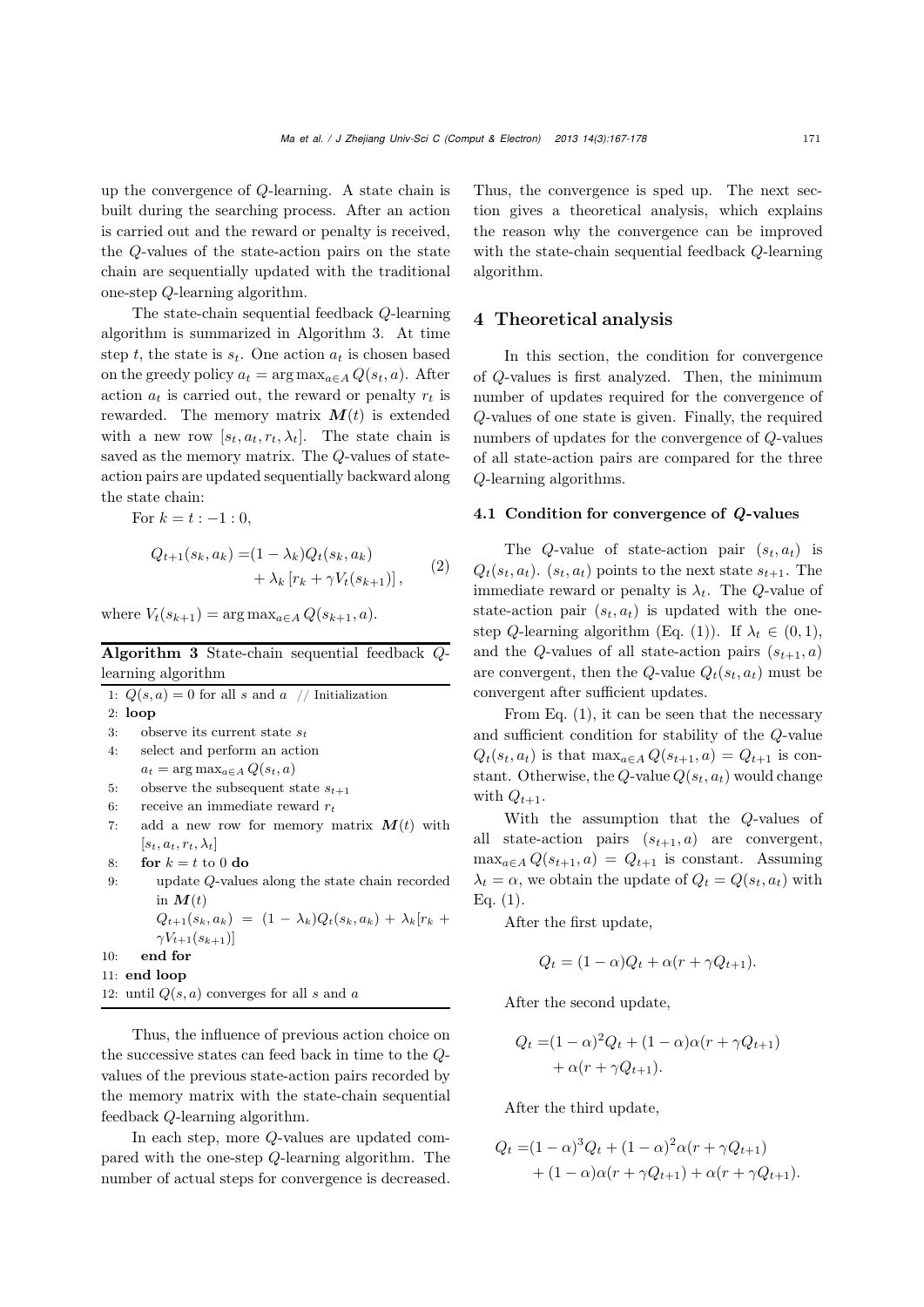up the convergence of Q-learning. A state chain is built during the searching process. After an action is carried out and the reward or penalty is received, the Q-values of the state-action pairs on the state chain are sequentially updated with the traditional one-step Q-learning algorithm.

The state-chain sequential feedback Q-learning algorithm is summarized in Algorithm 3. At time step t, the state is  $s_t$ . One action  $a_t$  is chosen based on the greedy policy  $a_t = \arg \max_{a \in A} Q(s_t, a)$ . After action  $a_t$  is carried out, the reward or penalty  $r_t$  is rewarded. The memory matrix  $M(t)$  is extended with a new row  $[s_t, a_t, r_t, \lambda_t]$ . The state chain is saved as the memory matrix. The Q-values of stateaction pairs are updated sequentially backward along the state chain:

For  $k = t : -1 : 0$ ,

$$
Q_{t+1}(s_k, a_k) = (1 - \lambda_k) Q_t(s_k, a_k) + \lambda_k [r_k + \gamma V_t(s_{k+1})],
$$
 (2)

where  $V_t(s_{k+1}) = \arg \max_{a \in A} Q(s_{k+1}, a)$ .

Algorithm 3 State-chain sequential feedback Qlearning algorithm

1:  $Q(s, a) = 0$  for all s and a // Initialization 2: loop 3: observe its current state s*<sup>t</sup>* 4: select and perform an action  $a_t = \arg \max_{a \in A} Q(s_t, a)$ 5: observe the subsequent state  $s_{t+1}$ 6: receive an immediate reward r*<sup>t</sup>* 7: add a new row for memory matrix  $M(t)$  with  $[s_t, a_t, r_t, \lambda_t]$ 8: **for**  $k = t$  to 0 **do**<br>9: **undate** *Q*-value update  $Q$ -values along the state chain recorded in  $M(t)$  $Q_{t+1}(s_k, a_k) = (1 - \lambda_k)Q_t(s_k, a_k) + \lambda_k[r_k +$  $\gamma V_{t+1}(s_{k+1})$ ] 10: end for 11: end loop 12: until  $Q(s, a)$  converges for all s and a

Thus, the influence of previous action choice on the successive states can feed back in time to the Qvalues of the previous state-action pairs recorded by the memory matrix with the state-chain sequential feedback Q-learning algorithm.

In each step, more Q-values are updated compared with the one-step Q-learning algorithm. The number of actual steps for convergence is decreased. Thus, the convergence is sped up. The next section gives a theoretical analysis, which explains the reason why the convergence can be improved with the state-chain sequential feedback Q-learning algorithm.

## 4 Theoretical analysis

In this section, the condition for convergence of Q-values is first analyzed. Then, the minimum number of updates required for the convergence of Q-values of one state is given. Finally, the required numbers of updates for the convergence of Q-values of all state-action pairs are compared for the three Q-learning algorithms.

#### 4.1 Condition for convergence of *Q*-values

The Q-value of state-action pair  $(s_t, a_t)$  is  $Q_t(s_t, a_t)$ .  $(s_t, a_t)$  points to the next state  $s_{t+1}$ . The immediate reward or penalty is  $\lambda_t$ . The *Q*-value of state-action pair  $(s_t, a_t)$  is updated with the onestep Q-learning algorithm (Eq. (1)). If  $\lambda_t \in (0,1)$ , and the Q-values of all state-action pairs  $(s_{t+1}, a)$ are convergent, then the Q-value  $Q_t(s_t, a_t)$  must be convergent after sufficient updates.

From Eq. (1), it can be seen that the necessary and sufficient condition for stability of the Q-value  $Q_t(s_t, a_t)$  is that  $\max_{a \in A} Q(s_{t+1}, a) = Q_{t+1}$  is constant. Otherwise, the Q-value  $Q(s_t, a_t)$  would change with  $Q_{t+1}$ .

With the assumption that the Q-values of all state-action pairs  $(s_{t+1}, a)$  are convergent,  $\max_{a \in A} Q(s_{t+1}, a) = Q_{t+1}$  is constant. Assuming  $\lambda_t = \alpha$ , we obtain the update of  $Q_t = Q(s_t, a_t)$  with Eq.  $(1)$ .

After the first update,

$$
Q_t = (1 - \alpha)Q_t + \alpha(r + \gamma Q_{t+1}).
$$

After the second update,

$$
Q_t = (1 - \alpha)^2 Q_t + (1 - \alpha)\alpha(r + \gamma Q_{t+1})
$$
  
+  $\alpha(r + \gamma Q_{t+1}).$ 

After the third update,

$$
Q_t = (1 - \alpha)^3 Q_t + (1 - \alpha)^2 \alpha (r + \gamma Q_{t+1}) + (1 - \alpha) \alpha (r + \gamma Q_{t+1}) + \alpha (r + \gamma Q_{t+1}).
$$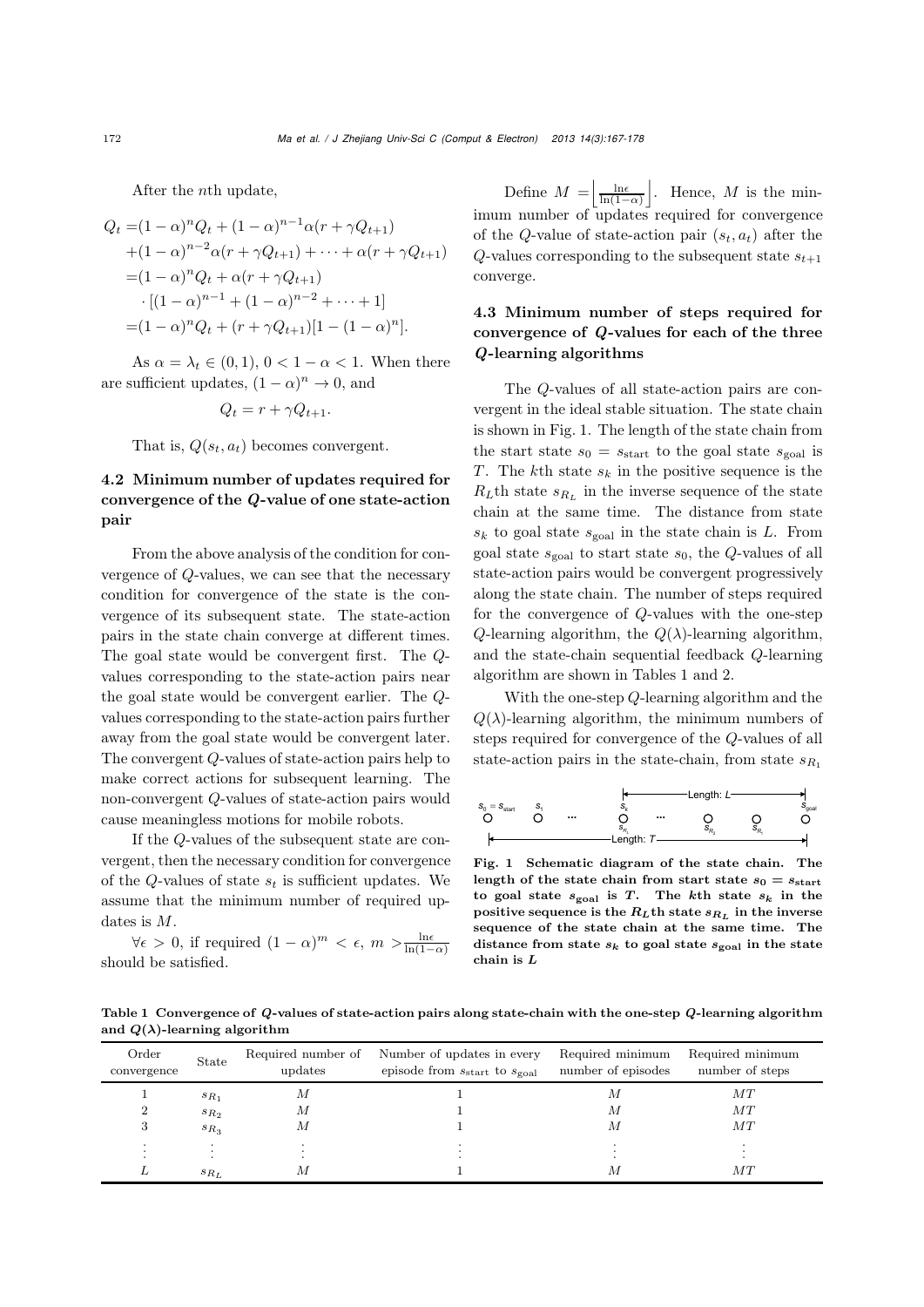After the nth update,

$$
Q_t = (1 - \alpha)^n Q_t + (1 - \alpha)^{n-1} \alpha (r + \gamma Q_{t+1})
$$
  
+ 
$$
(1 - \alpha)^{n-2} \alpha (r + \gamma Q_{t+1}) + \dots + \alpha (r + \gamma Q_{t+1})
$$
  
= 
$$
(1 - \alpha)^n Q_t + \alpha (r + \gamma Q_{t+1})
$$
  

$$
\cdot [(1 - \alpha)^{n-1} + (1 - \alpha)^{n-2} + \dots + 1]
$$
  
= 
$$
(1 - \alpha)^n Q_t + (r + \gamma Q_{t+1})[1 - (1 - \alpha)^n].
$$

As  $\alpha = \lambda_t \in (0,1)$ ,  $0 < 1 - \alpha < 1$ . When there are sufficient updates,  $(1 - \alpha)^n \to 0$ , and

$$
Q_t = r + \gamma Q_{t+1}.
$$

That is,  $Q(s_t, a_t)$  becomes convergent.

# 4.2 Minimum number of updates required for convergence of the *Q*-value of one state-action pair

From the above analysis of the condition for convergence of Q-values, we can see that the necessary condition for convergence of the state is the convergence of its subsequent state. The state-action pairs in the state chain converge at different times. The goal state would be convergent first. The Qvalues corresponding to the state-action pairs near the goal state would be convergent earlier. The Qvalues corresponding to the state-action pairs further away from the goal state would be convergent later. The convergent Q-values of state-action pairs help to make correct actions for subsequent learning. The non-convergent Q-values of state-action pairs would cause meaningless motions for mobile robots.

If the Q-values of the subsequent state are convergent, then the necessary condition for convergence of the Q-values of state  $s_t$  is sufficient updates. We assume that the minimum number of required updates is M.

 $\forall \epsilon > 0$ , if required  $(1 - \alpha)^m < \epsilon$ ,  $m > \frac{\ln \epsilon}{\ln(1 - \alpha)}$ should be satisfied.

Define  $M = \frac{\ln \epsilon}{\ln(1-\alpha)}$ . Hence,  $M$  is the minimum number of updates required for convergence of the Q-value of state-action pair  $(s_t, a_t)$  after the Q-values corresponding to the subsequent state  $s_{t+1}$ converge.

# 4.3 Minimum number of steps required for convergence of *Q*-values for each of the three *Q*-learning algorithms

The Q-values of all state-action pairs are convergent in the ideal stable situation. The state chain is shown in Fig. 1. The length of the state chain from the start state  $s_0 = s_{start}$  to the goal state  $s_{goal}$  is T. The kth state  $s_k$  in the positive sequence is the  $R_L$ th state  $s_{R_L}$  in the inverse sequence of the state chain at the same time. The distance from state  $s_k$  to goal state  $s_{\text{goal}}$  in the state chain is L. From goal state  $s_{\text{goal}}$  to start state  $s_0$ , the  $Q$ -values of all state-action pairs would be convergent progressively along the state chain. The number of steps required for the convergence of Q-values with the one-step Q-learning algorithm, the  $Q(\lambda)$ -learning algorithm, and the state-chain sequential feedback Q-learning algorithm are shown in Tables 1 and 2.

With the one-step Q-learning algorithm and the  $Q(\lambda)$ -learning algorithm, the minimum numbers of steps required for convergence of the Q-values of all state-action pairs in the state-chain, from state  $s_{R_1}$ 

**... ...** *s s* 0 start <sup>=</sup> <sup>1</sup> *<sup>s</sup> <sup>k</sup> <sup>s</sup> RL <sup>s</sup> <sup>R</sup>*<sup>2</sup> *<sup>s</sup> <sup>R</sup>*<sup>1</sup> *s* goal *s* Length: *T* Length: *L*

Fig. 1 Schematic diagram of the state chain. The length of the state chain from start state  $s_0 = s_{start}$ to goal state  $s_{\text{goal}}$  is *T*. The *k*th state  $s_k$  in the positive sequence is the  $R_L$ th state  $s_{R_L}$  in the inverse sequence of the state chain at the same time. The distance from state  $s_k$  to goal state  $s_{\text{goal}}$  in the state chain is *L*

Table 1 Convergence of *Q*-values of state-action pairs along state-chain with the one-step *Q*-learning algorithm and  $Q(\lambda)$ -learning algorithm

| Order<br>convergence | State     | Required number of<br>updates | Number of updates in every<br>episode from $s_{\text{start}}$ to $s_{\text{goal}}$ | Required minimum<br>number of episodes | Required minimum<br>number of steps |  |
|----------------------|-----------|-------------------------------|------------------------------------------------------------------------------------|----------------------------------------|-------------------------------------|--|
|                      | $s_{R_1}$ | М                             |                                                                                    | М                                      | MT                                  |  |
| 2                    | $s_{R_2}$ | M                             |                                                                                    | M                                      | MT                                  |  |
| 3                    | $s_{R_3}$ | М                             |                                                                                    | М                                      | MT                                  |  |
|                      |           |                               |                                                                                    |                                        |                                     |  |
|                      | $s_{R_L}$ | М                             |                                                                                    |                                        | $_{MT}$                             |  |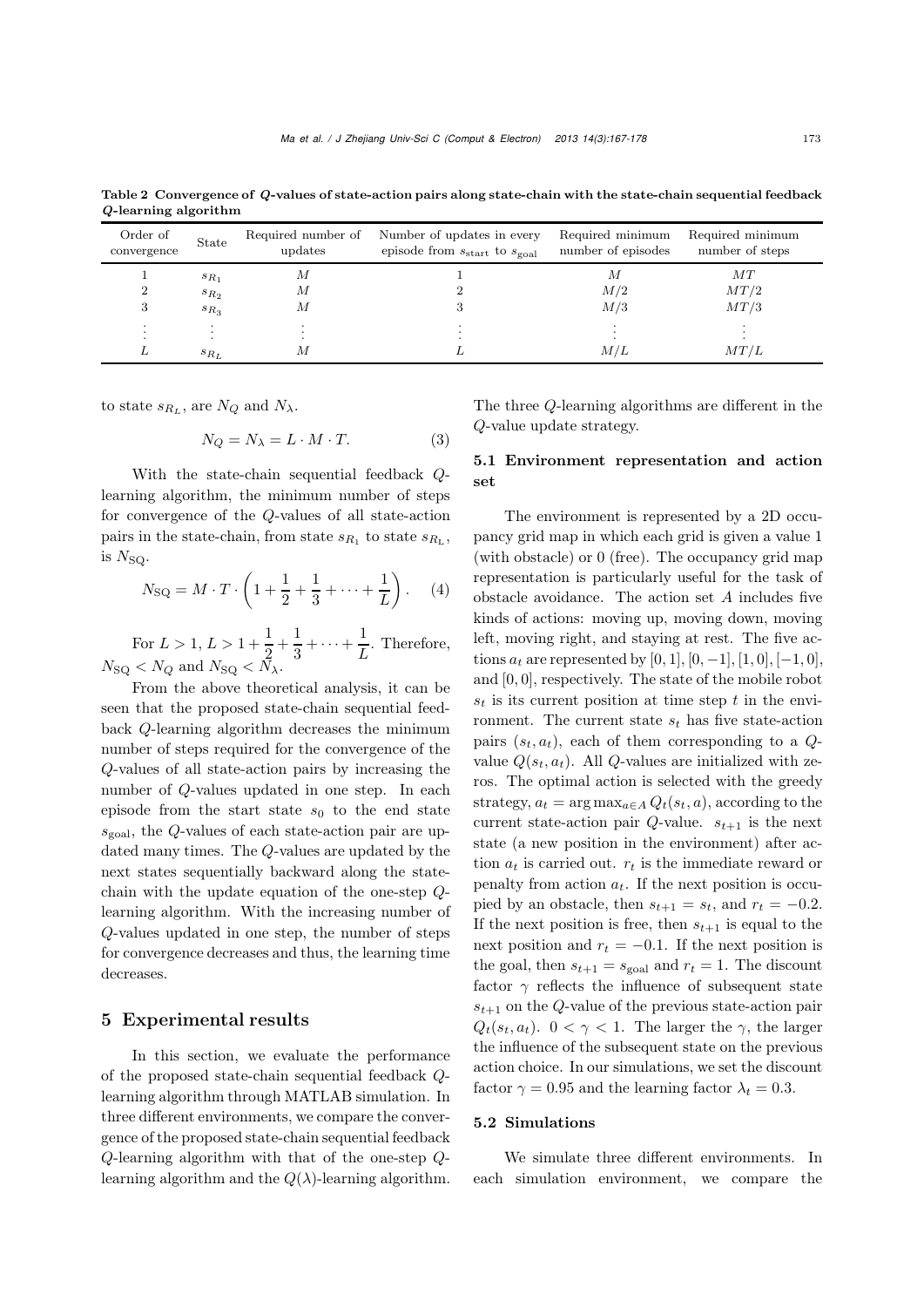| Order of<br>convergence | State     | Required number of<br>updates | Number of updates in every<br>episode from $s_{\text{start}}$ to $s_{\text{goal}}$ | Required minimum<br>number of episodes | Required minimum<br>number of steps |  |
|-------------------------|-----------|-------------------------------|------------------------------------------------------------------------------------|----------------------------------------|-------------------------------------|--|
|                         | $s_{R_1}$ | М                             |                                                                                    | М                                      | MT                                  |  |
| 2                       | $s_{R_2}$ | М                             |                                                                                    | M/2                                    | MT/2                                |  |
| 3                       | $s_{R_3}$ | М                             |                                                                                    | M/3                                    | MT/3                                |  |
|                         |           |                               |                                                                                    |                                        |                                     |  |
| $\mathcal{L}$           | $s_{R_L}$ | М                             |                                                                                    | M/L                                    | MT/L                                |  |

Table 2 Convergence of *Q*-values of state-action pairs along state-chain with the state-chain sequential feedback *Q*-learning algorithm

to state  $s_{R_L}$ , are  $N_Q$  and  $N_\lambda$ .

$$
N_Q = N_{\lambda} = L \cdot M \cdot T. \tag{3}
$$

With the state-chain sequential feedback Qlearning algorithm, the minimum number of steps for convergence of the Q-values of all state-action pairs in the state-chain, from state  $s_{R_1}$  to state  $s_{R_1}$ , is  $N_{\rm SQ}$ .

$$
N_{\rm SQ} = M \cdot T \cdot \left( 1 + \frac{1}{2} + \frac{1}{3} + \dots + \frac{1}{L} \right). \tag{4}
$$

For  $L > 1$ ,  $L > 1 + \frac{1}{2} + \frac{1}{3} + \cdots + \frac{1}{L}$ . Therefore,<br>  $\langle N_Q \rangle$  and  $N_{SQ} \langle N_{\lambda} \rangle$ .  $N_{\rm SQ} < N_Q$  and  $N_{\rm SQ} < N_\lambda$ .

From the above theoretical analysis, it can be seen that the proposed state-chain sequential feedback Q-learning algorithm decreases the minimum number of steps required for the convergence of the Q-values of all state-action pairs by increasing the number of Q-values updated in one step. In each episode from the start state  $s_0$  to the end state  $s_{\text{goal}}$ , the Q-values of each state-action pair are updated many times. The Q-values are updated by the next states sequentially backward along the statechain with the update equation of the one-step Qlearning algorithm. With the increasing number of Q-values updated in one step, the number of steps for convergence decreases and thus, the learning time decreases.

## 5 Experimental results

In this section, we evaluate the performance of the proposed state-chain sequential feedback Qlearning algorithm through MATLAB simulation. In three different environments, we compare the convergence of the proposed state-chain sequential feedback Q-learning algorithm with that of the one-step Qlearning algorithm and the  $Q(\lambda)$ -learning algorithm.

The three Q-learning algorithms are different in the Q-value update strategy.

# 5.1 Environment representation and action set

The environment is represented by a 2D occupancy grid map in which each grid is given a value 1 (with obstacle) or 0 (free). The occupancy grid map representation is particularly useful for the task of obstacle avoidance. The action set  $A$  includes five kinds of actions: moving up, moving down, moving left, moving right, and staying at rest. The five actions  $a_t$  are represented by [0, 1], [0, -1], [1, 0], [-1, 0], and [0, 0], respectively. The state of the mobile robot  $s_t$  is its current position at time step t in the environment. The current state  $s_t$  has five state-action pairs  $(s_t, a_t)$ , each of them corresponding to a  $Q$ value  $Q(s_t, a_t)$ . All Q-values are initialized with zeros. The optimal action is selected with the greedy strategy,  $a_t = \arg \max_{a \in A} Q_t(s_t, a)$ , according to the current state-action pair Q-value.  $s_{t+1}$  is the next state (a new position in the environment) after action  $a_t$  is carried out.  $r_t$  is the immediate reward or penalty from action  $a_t$ . If the next position is occupied by an obstacle, then  $s_{t+1} = s_t$ , and  $r_t = -0.2$ . If the next position is free, then  $s_{t+1}$  is equal to the next position and  $r_t = -0.1$ . If the next position is the goal, then  $s_{t+1} = s_{\text{goal}}$  and  $r_t = 1$ . The discount factor  $\gamma$  reflects the influence of subsequent state  $s_{t+1}$  on the Q-value of the previous state-action pair  $Q_t(s_t, a_t)$ .  $0 < \gamma < 1$ . The larger the  $\gamma$ , the larger the influence of the subsequent state on the previous action choice. In our simulations, we set the discount factor  $\gamma = 0.95$  and the learning factor  $\lambda_t = 0.3$ .

### 5.2 Simulations

We simulate three different environments. In each simulation environment, we compare the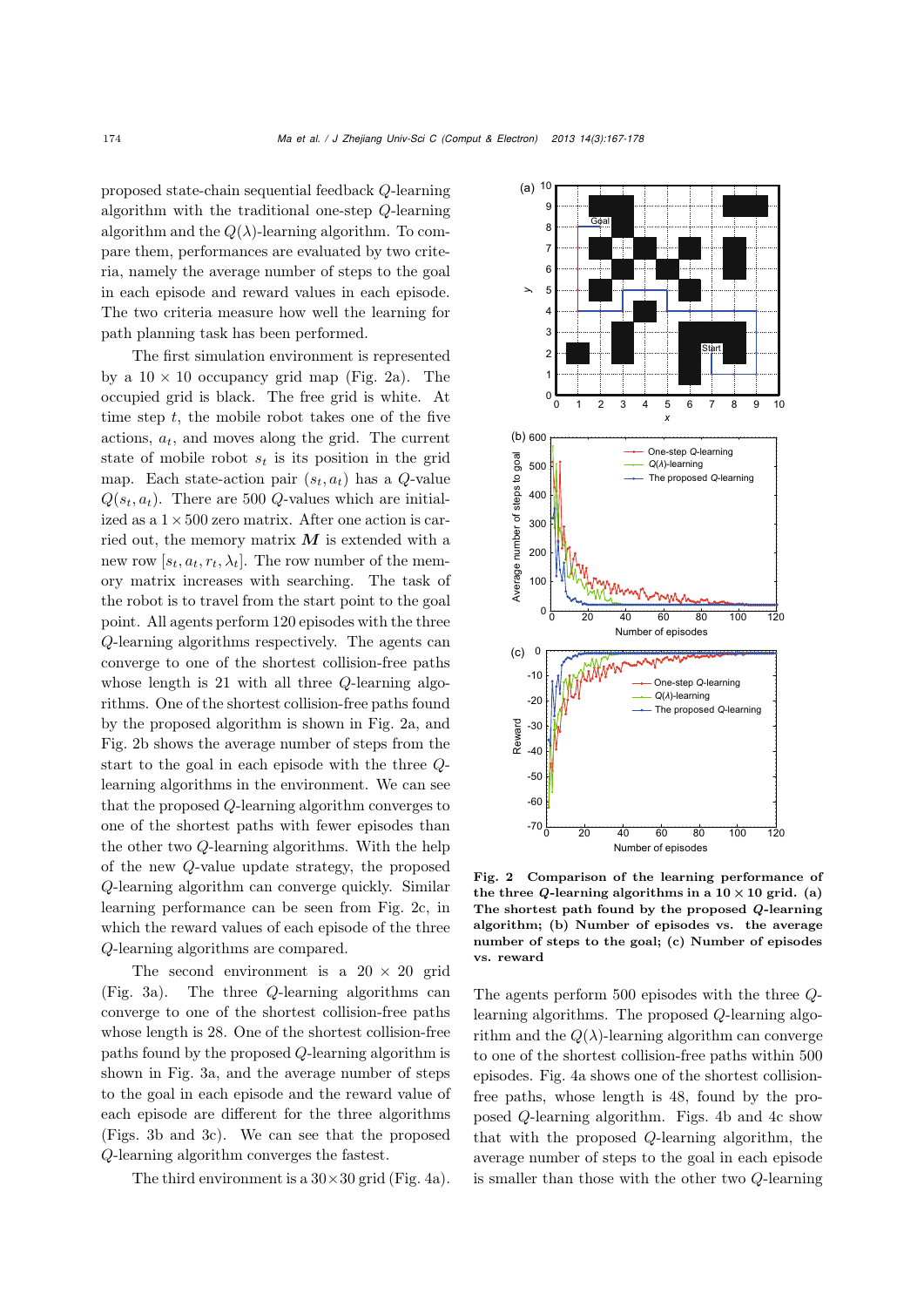proposed state-chain sequential feedback Q-learning algorithm with the traditional one-step Q-learning algorithm and the  $Q(\lambda)$ -learning algorithm. To compare them, performances are evaluated by two criteria, namely the average number of steps to the goal in each episode and reward values in each episode. The two criteria measure how well the learning for path planning task has been performed.

The first simulation environment is represented by a  $10 \times 10$  occupancy grid map (Fig. 2a). The occupied grid is black. The free grid is white. At time step  $t$ , the mobile robot takes one of the five actions,  $a_t$ , and moves along the grid. The current state of mobile robot  $s_t$  is its position in the grid map. Each state-action pair  $(s_t, a_t)$  has a Q-value  $Q(s_t, a_t)$ . There are 500 Q-values which are initialized as a  $1 \times 500$  zero matrix. After one action is carried out, the memory matrix *M* is extended with a new row  $[s_t, a_t, r_t, \lambda_t]$ . The row number of the memory matrix increases with searching. The task of the robot is to travel from the start point to the goal point. All agents perform 120 episodes with the three Q-learning algorithms respectively. The agents can converge to one of the shortest collision-free paths whose length is 21 with all three Q-learning algorithms. One of the shortest collision-free paths found by the proposed algorithm is shown in Fig. 2a, and Fig. 2b shows the average number of steps from the start to the goal in each episode with the three Qlearning algorithms in the environment. We can see that the proposed Q-learning algorithm converges to one of the shortest paths with fewer episodes than the other two Q-learning algorithms. With the help of the new Q-value update strategy, the proposed Q-learning algorithm can converge quickly. Similar learning performance can be seen from Fig. 2c, in which the reward values of each episode of the three Q-learning algorithms are compared.

The second environment is a  $20 \times 20$  grid<br>(Fig. 3a). The three *Q*-learning algorithms can The three Q-learning algorithms can converge to one of the shortest collision-free paths whose length is 28. One of the shortest collision-free paths found by the proposed Q-learning algorithm is shown in Fig. 3a, and the average number of steps to the goal in each episode and the reward value of each episode are different for the three algorithms (Figs. 3b and 3c). We can see that the proposed Q-learning algorithm converges the fastest.

The third environment is a  $30 \times 30$  grid (Fig. 4a).



Fig. 2 Comparison of the learning performance of the three *Q*-learning algorithms in a  $10 \times 10$  grid. (a) The shortest path found by the proposed *Q*-learning algorithm; (b) Number of episodes vs. the average number of steps to the goal; (c) Number of episodes vs. reward

The agents perform 500 episodes with the three <sup>Q</sup>learning algorithms. The proposed Q-learning algorithm and the  $Q(\lambda)$ -learning algorithm can converge to one of the shortest collision-free paths within 500 episodes. Fig. 4a shows one of the shortest collisionfree paths, whose length is 48, found by the proposed Q-learning algorithm. Figs. 4b and 4c show that with the proposed Q-learning algorithm, the average number of steps to the goal in each episode is smaller than those with the other two Q-learning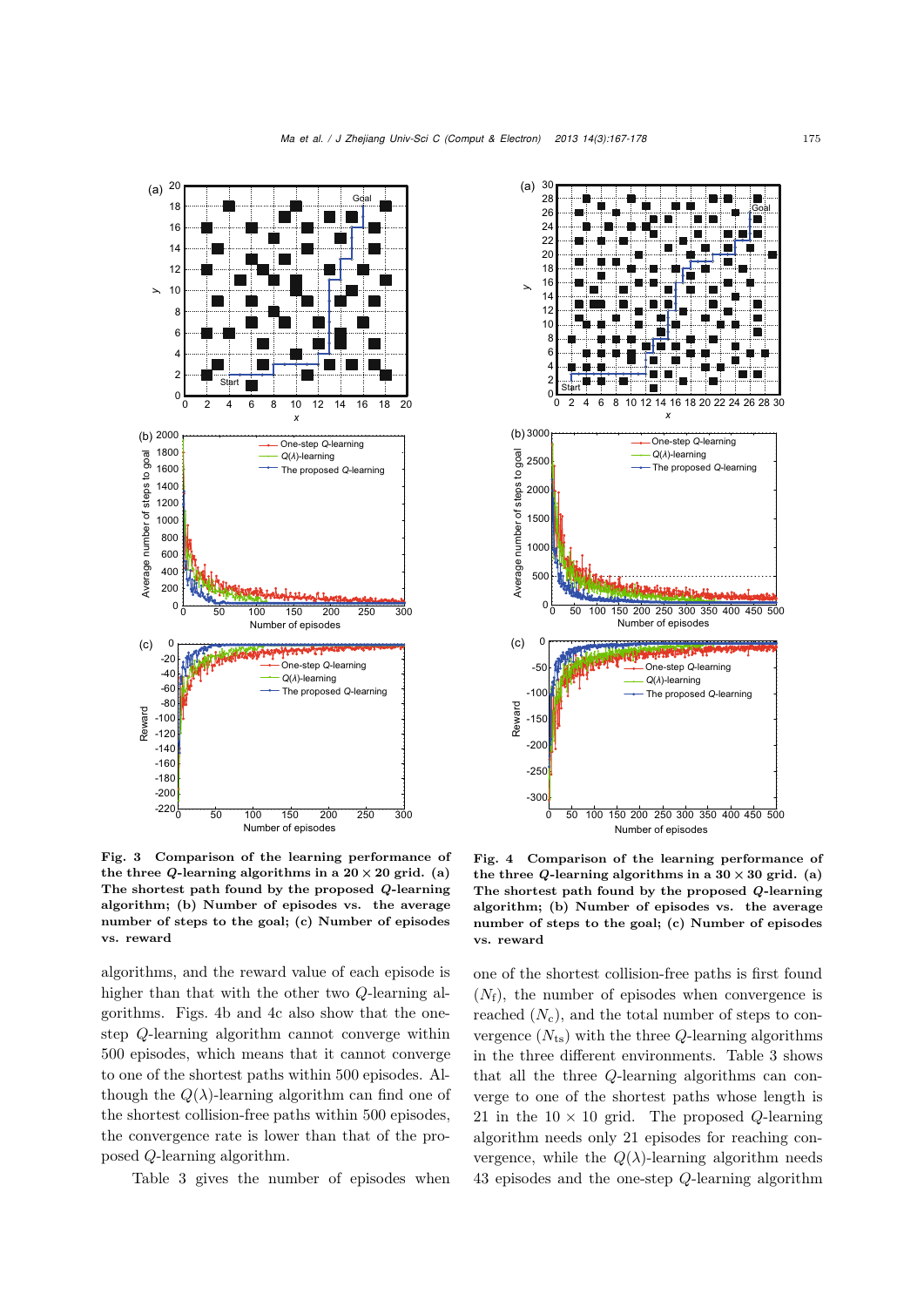

Fig. 3 Comparison of the learning performance of the three  $Q$ -learning algorithms in a  $20 \times 20$  grid. (a) The shortest path found by the proposed *Q*-learning algorithm; (b) Number of episodes vs. the average number of steps to the goal; (c) Number of episodes vs. reward

algorithms, and the reward value of each episode is higher than that with the other two Q-learning algorithms. Figs. 4b and 4c also show that the onestep Q-learning algorithm cannot converge within 500 episodes, which means that it cannot converge to one of the shortest paths within 500 episodes. Although the  $Q(\lambda)$ -learning algorithm can find one of the shortest collision-free paths within 500 episodes, the convergence rate is lower than that of the proposed Q-learning algorithm.

Table 3 gives the number of episodes when



Fig. 4 Comparison of the learning performance of the three *Q*-learning algorithms in a  $30 \times 30$  grid. (a) The shortest path found by the proposed *Q*-learning algorithm; (b) Number of episodes vs. the average number of steps to the goal; (c) Number of episodes vs. reward

one of the shortest collision-free paths is first found  $(N_f)$ , the number of episodes when convergence is reached  $(N_c)$ , and the total number of steps to convergence  $(N_{ts})$  with the three Q-learning algorithms in the three different environments. Table 3 shows that all the three Q-learning algorithms can converge to one of the shortest paths whose length is 21 in the  $10 \times 10$  grid. The proposed Q-learning algorithm needs only 21 episodes for reaching convergence, while the  $Q(\lambda)$ -learning algorithm needs 43 episodes and the one-step <sup>Q</sup>-learning algorithm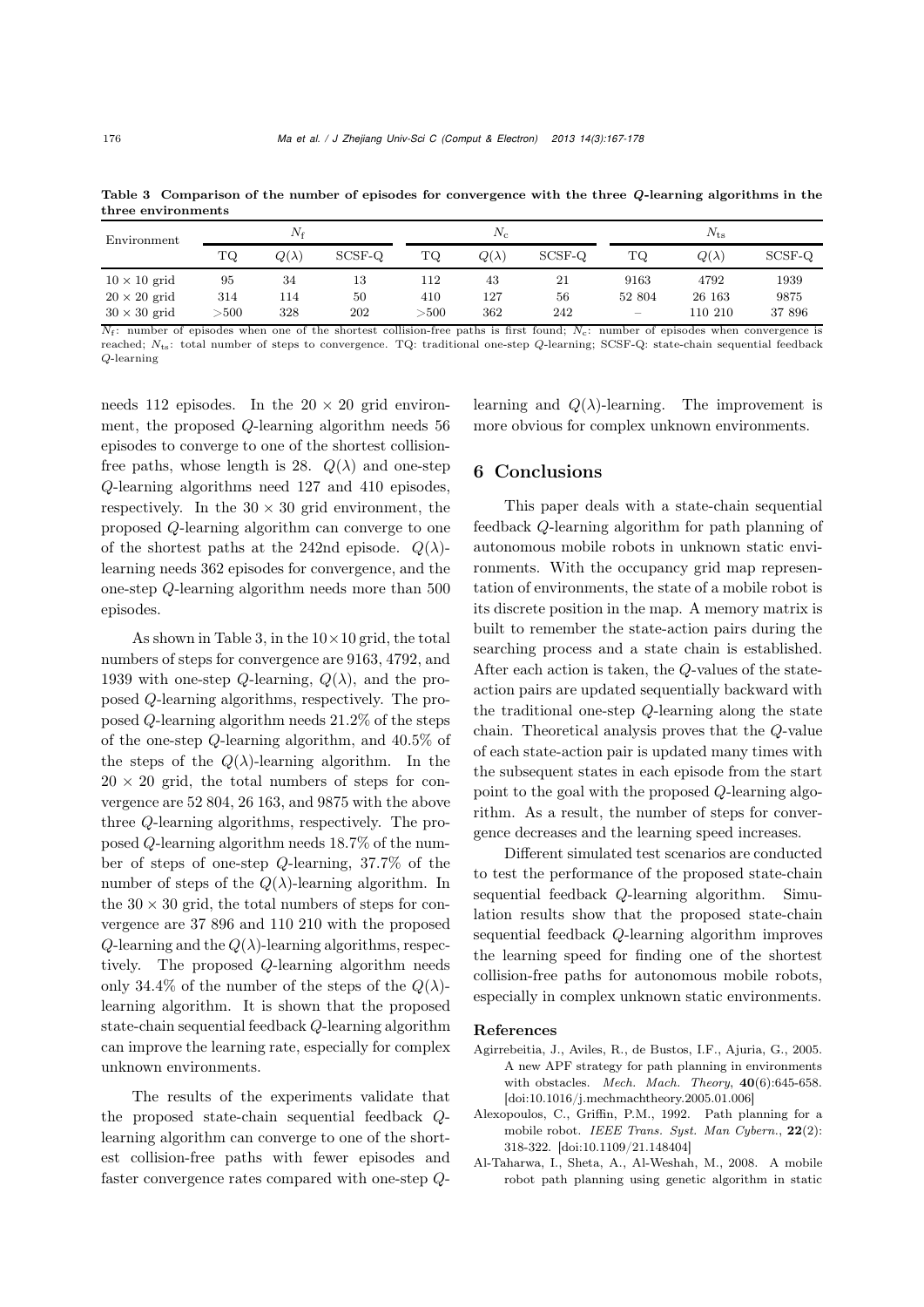| <u>um ce ch'u chinenge</u> |      |              |        |            |              |        |                   |              |        |
|----------------------------|------|--------------|--------|------------|--------------|--------|-------------------|--------------|--------|
| Environment                | N    |              |        | $N_c$      |              |        | $N_{\rm ts}$      |              |        |
|                            | TQ   | $Q(\lambda)$ | SCSF-Q | TO         | $Q(\lambda)$ | SCSF-Q | TQ                | $Q(\lambda)$ | SCSF-Q |
| $10 \times 10$ grid        | 95   | 34           | 13     | 112        | 43           | 21     | 9163              | 4792         | 1939   |
| $20 \times 20$ grid        | 314  | 114          | 50     | 410        | 127          | 56     | 52 804            | 26 163       | 9875   |
| $30 \times 30$ grid        | >500 | 328          | 202    | $>\!\!500$ | 362          | 242    | $\qquad \qquad -$ | 110 210      | 37 896 |

Table 3 Comparison of the number of episodes for convergence with the three *Q*-learning algorithms in the three environments

 $N_f$ : number of episodes when one of the shortest collision-free paths is first found;  $N_c$ : number of episodes when convergence is reached; N<sub>ts</sub>: total number of steps to convergence. TQ: traditional one-step Q-learning; SCSF-Q: state-chain sequential feedback Q-learning

needs 112 episodes. In the  $20 \times 20$  grid environment, the proposed <sup>Q</sup>-learning algorithm needs 56 episodes to converge to one of the shortest collisionfree paths, whose length is 28.  $Q(\lambda)$  and one-step <sup>Q</sup>-learning algorithms need 127 and 410 episodes, respectively. In the  $30 \times 30$  grid environment, the proposed Q-learning algorithm can converge to one of the shortest paths at the 242nd episode.  $Q(\lambda)$ learning needs 362 episodes for convergence, and the one-step <sup>Q</sup>-learning algorithm needs more than 500 episodes.

As shown in Table 3, in the  $10 \times 10$  grid, the total numbers of steps for convergence are 9163, 4792, and 1939 with one-step Q-learning,  $Q(\lambda)$ , and the proposed Q-learning algorithms, respectively. The proposed <sup>Q</sup>-learning algorithm needs 21.2% of the steps of the one-step <sup>Q</sup>-learning algorithm, and 40.5% of the steps of the  $Q(\lambda)$ -learning algorithm. In the  $20 \times 20$  grid, the total numbers of steps for convergence are 52 804, 26 163, and 9875 with the above three Q-learning algorithms, respectively. The proposed <sup>Q</sup>-learning algorithm needs 18.7% of the number of steps of one-step <sup>Q</sup>-learning, 37.7% of the number of steps of the  $Q(\lambda)$ -learning algorithm. In the  $30 \times 30$  grid, the total numbers of steps for convergence are 37 896 and 110 210 with the proposed Q-learning and the  $Q(\lambda)$ -learning algorithms, respectively. The proposed Q-learning algorithm needs only 34.4% of the number of the steps of the  $Q(\lambda)$ learning algorithm. It is shown that the proposed state-chain sequential feedback Q-learning algorithm can improve the learning rate, especially for complex unknown environments.

The results of the experiments validate that the proposed state-chain sequential feedback Qlearning algorithm can converge to one of the shortest collision-free paths with fewer episodes and faster convergence rates compared with one-step Q-

learning and  $Q(\lambda)$ -learning. The improvement is more obvious for complex unknown environments.

## 6 Conclusions

This paper deals with a state-chain sequential feedback Q-learning algorithm for path planning of autonomous mobile robots in unknown static environments. With the occupancy grid map representation of environments, the state of a mobile robot is its discrete position in the map. A memory matrix is built to remember the state-action pairs during the searching process and a state chain is established. After each action is taken, the Q-values of the stateaction pairs are updated sequentially backward with the traditional one-step Q-learning along the state chain. Theoretical analysis proves that the Q-value of each state-action pair is updated many times with the subsequent states in each episode from the start point to the goal with the proposed Q-learning algorithm. As a result, the number of steps for convergence decreases and the learning speed increases.

Different simulated test scenarios are conducted to test the performance of the proposed state-chain sequential feedback Q-learning algorithm. Simulation results show that the proposed state-chain sequential feedback Q-learning algorithm improves the learning speed for finding one of the shortest collision-free paths for autonomous mobile robots, especially in complex unknown static environments.

#### References

- Agirrebeitia, J., Aviles, R., de Bustos, I.F., Ajuria, G., 2005. A new APF strategy for path planning in environments with obstacles. *Mech. Mach. Theory*, 40(6):645-658. [doi:10.1016/j.mechmachtheory.2005.01.006]
- Alexopoulos, C., Griffin, P.M., 1992. Path planning for a mobile robot. *IEEE Trans. Syst. Man Cybern.*, 22(2): 318-322. [doi:10.1109/21.148404]
- Al-Taharwa, I., Sheta, A., Al-Weshah, M., 2008. A mobile robot path planning using genetic algorithm in static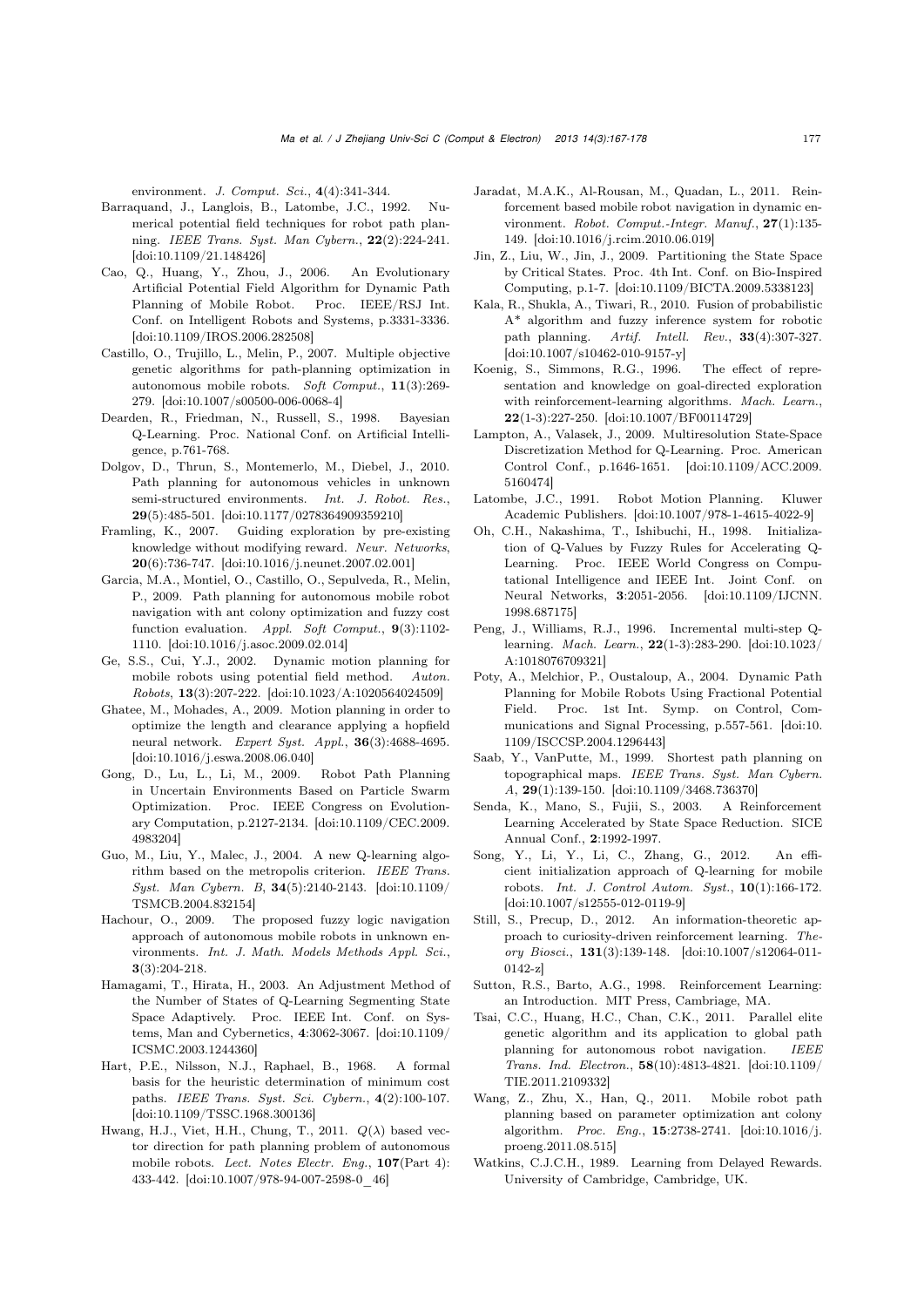environment. *J. Comput. Sci.*, 4(4):341-344.

- Barraquand, J., Langlois, B., Latombe, J.C., 1992. Numerical potential field techniques for robot path planning. *IEEE Trans. Syst. Man Cybern.*, 22(2):224-241. [doi:10.1109/21.148426]
- Cao, Q., Huang, Y., Zhou, J., 2006. An Evolutionary Artificial Potential Field Algorithm for Dynamic Path Planning of Mobile Robot. Proc. IEEE/RSJ Int. Conf. on Intelligent Robots and Systems, p.3331-3336. [doi:10.1109/IROS.2006.282508]
- Castillo, O., Trujillo, L., Melin, P., 2007. Multiple objective genetic algorithms for path-planning optimization in autonomous mobile robots. *Soft Comput.*, 11(3):269- 279. [doi:10.1007/s00500-006-0068-4]
- Dearden, R., Friedman, N., Russell, S., 1998. Bayesian Q-Learning. Proc. National Conf. on Artificial Intelligence, p.761-768.
- Dolgov, D., Thrun, S., Montemerlo, M., Diebel, J., 2010. Path planning for autonomous vehicles in unknown semi-structured environments. *Int. J. Robot. Res.*, 29(5):485-501. [doi:10.1177/0278364909359210]
- Framling, K., 2007. Guiding exploration by pre-existing knowledge without modifying reward. *Neur. Networks*, 20(6):736-747. [doi:10.1016/j.neunet.2007.02.001]
- Garcia, M.A., Montiel, O., Castillo, O., Sepulveda, R., Melin, P., 2009. Path planning for autonomous mobile robot navigation with ant colony optimization and fuzzy cost function evaluation. *Appl. Soft Comput.*, 9(3):1102- 1110. [doi:10.1016/j.asoc.2009.02.014]
- Ge, S.S., Cui, Y.J., 2002. Dynamic motion planning for mobile robots using potential field method. *Auton. Robots*, 13(3):207-222. [doi:10.1023/A:1020564024509]
- Ghatee, M., Mohades, A., 2009. Motion planning in order to optimize the length and clearance applying a hopfield neural network. *Expert Syst. Appl.*, 36(3):4688-4695. [doi:10.1016/j.eswa.2008.06.040]
- Gong, D., Lu, L., Li, M., 2009. Robot Path Planning in Uncertain Environments Based on Particle Swarm Optimization. Proc. IEEE Congress on Evolutionary Computation, p.2127-2134. [doi:10.1109/CEC.2009. 4983204]
- Guo, M., Liu, Y., Malec, J., 2004. A new Q-learning algorithm based on the metropolis criterion. *IEEE Trans. Syst. Man Cybern. B*, 34(5):2140-2143. [doi:10.1109/ TSMCB.2004.832154]
- Hachour, O., 2009. The proposed fuzzy logic navigation approach of autonomous mobile robots in unknown environments. *Int. J. Math. Models Methods Appl. Sci.*,  $3(3):204-218.$
- Hamagami, T., Hirata, H., 2003. An Adjustment Method of the Number of States of Q-Learning Segmenting State Space Adaptively. Proc. IEEE Int. Conf. on Systems, Man and Cybernetics, 4:3062-3067. [doi:10.1109/ ICSMC.2003.1244360]
- Hart, P.E., Nilsson, N.J., Raphael, B., 1968. A formal basis for the heuristic determination of minimum cost paths. *IEEE Trans. Syst. Sci. Cybern.*, 4(2):100-107. [doi:10.1109/TSSC.1968.300136]
- Hwang, H.J., Viet, H.H., Chung, T., 2011.  $Q(\lambda)$  based vector direction for path planning problem of autonomous mobile robots. *Lect. Notes Electr. Eng.*, 107(Part 4): 433-442. [doi:10.1007/978-94-007-2598-0\_46]
- Jaradat, M.A.K., Al-Rousan, M., Quadan, L., 2011. Reinforcement based mobile robot navigation in dynamic environment. *Robot. Comput.-Integr. Manuf.*, 27(1):135- 149. [doi:10.1016/j.rcim.2010.06.019]
- Jin, Z., Liu, W., Jin, J., 2009. Partitioning the State Space by Critical States. Proc. 4th Int. Conf. on Bio-Inspired Computing, p.1-7. [doi:10.1109/BICTA.2009.5338123]
- Kala, R., Shukla, A., Tiwari, R., 2010. Fusion of probabilistic A\* algorithm and fuzzy inference system for robotic path planning. *Artif. Intell. Rev.*, 33(4):307-327. [doi:10.1007/s10462-010-9157-y]
- Koenig, S., Simmons, R.G., 1996. The effect of representation and knowledge on goal-directed exploration with reinforcement-learning algorithms. *Mach. Learn.*, 22(1-3):227-250. [doi:10.1007/BF00114729]
- Lampton, A., Valasek, J., 2009. Multiresolution State-Space Discretization Method for Q-Learning. Proc. American Control Conf., p.1646-1651. [doi:10.1109/ACC.2009. 5160474]
- Latombe, J.C., 1991. Robot Motion Planning. Kluwer Academic Publishers. [doi:10.1007/978-1-4615-4022-9]
- Oh, C.H., Nakashima, T., Ishibuchi, H., 1998. Initialization of Q-Values by Fuzzy Rules for Accelerating Q-Learning. Proc. IEEE World Congress on Computational Intelligence and IEEE Int. Joint Conf. on Neural Networks, 3:2051-2056. [doi:10.1109/IJCNN. 1998.687175]
- Peng, J., Williams, R.J., 1996. Incremental multi-step Qlearning. *Mach. Learn.*, 22(1-3):283-290. [doi:10.1023/ A:1018076709321]
- Poty, A., Melchior, P., Oustaloup, A., 2004. Dynamic Path Planning for Mobile Robots Using Fractional Potential Field. Proc. 1st Int. Symp. on Control, Communications and Signal Processing, p.557-561. [doi:10. 1109/ISCCSP.2004.1296443]
- Saab, Y., VanPutte, M., 1999. Shortest path planning on topographical maps. *IEEE Trans. Syst. Man Cybern. A*, 29(1):139-150. [doi:10.1109/3468.736370]
- Senda, K., Mano, S., Fujii, S., 2003. A Reinforcement Learning Accelerated by State Space Reduction. SICE Annual Conf., 2:1992-1997.
- Song, Y., Li, Y., Li, C., Zhang, G., 2012. An efficient initialization approach of Q-learning for mobile robots. *Int. J. Control Autom. Syst.*, 10(1):166-172. [doi:10.1007/s12555-012-0119-9]
- Still, S., Precup, D., 2012. An information-theoretic approach to curiosity-driven reinforcement learning. *Theory Biosci.*, 131(3):139-148. [doi:10.1007/s12064-011- 0142-z]
- Sutton, R.S., Barto, A.G., 1998. Reinforcement Learning: an Introduction. MIT Press, Cambriage, MA.
- Tsai, C.C., Huang, H.C., Chan, C.K., 2011. Parallel elite genetic algorithm and its application to global path planning for autonomous robot navigation. *IEEE Trans. Ind. Electron.*, 58(10):4813-4821. [doi:10.1109/ TIE.2011.2109332]
- Wang, Z., Zhu, X., Han, Q., 2011. Mobile robot path planning based on parameter optimization ant colony algorithm. *Proc. Eng.*, 15:2738-2741. [doi:10.1016/j. proeng.2011.08.515]
- Watkins, C.J.C.H., 1989. Learning from Delayed Rewards. University of Cambridge, Cambridge, UK.